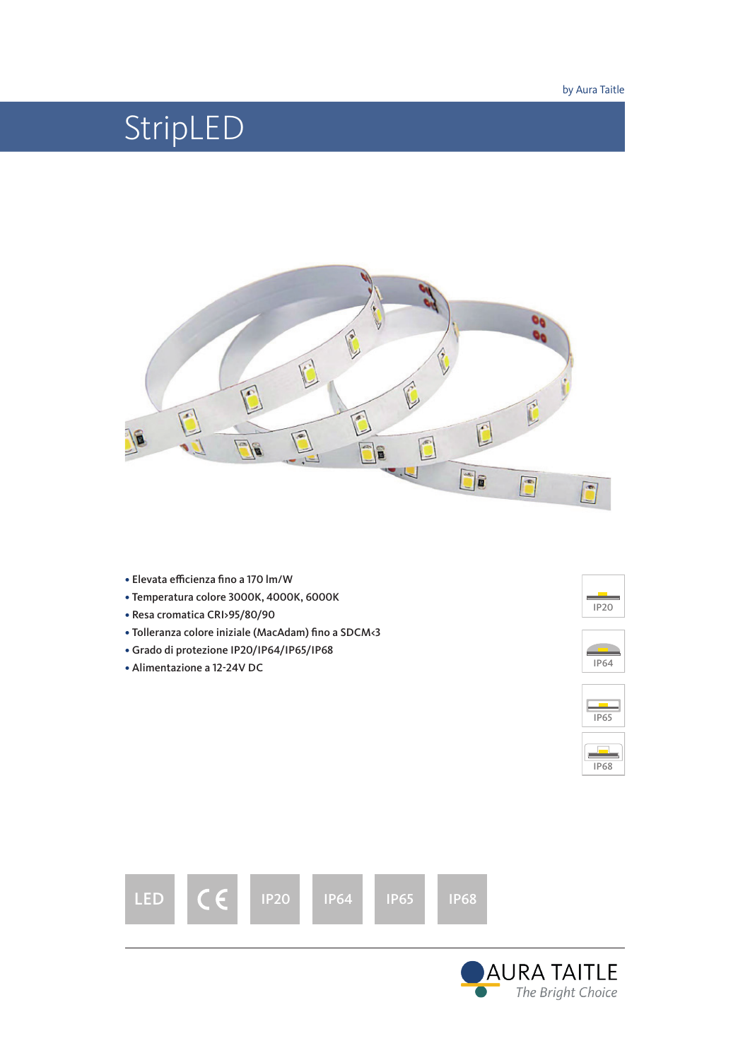# StripLED



- Elevata efficienza fino a 170 lm/W
- Temperatura colore 3000K, 4000K, 6000K
- Resa cromatica CRI>95/80/90
- Tolleranza colore iniziale (MacAdam) fino a SDCM<3
- Grado di protezione IP20/IP64/IP65/IP68
- Alimentazione a 12-24V DC







IP68



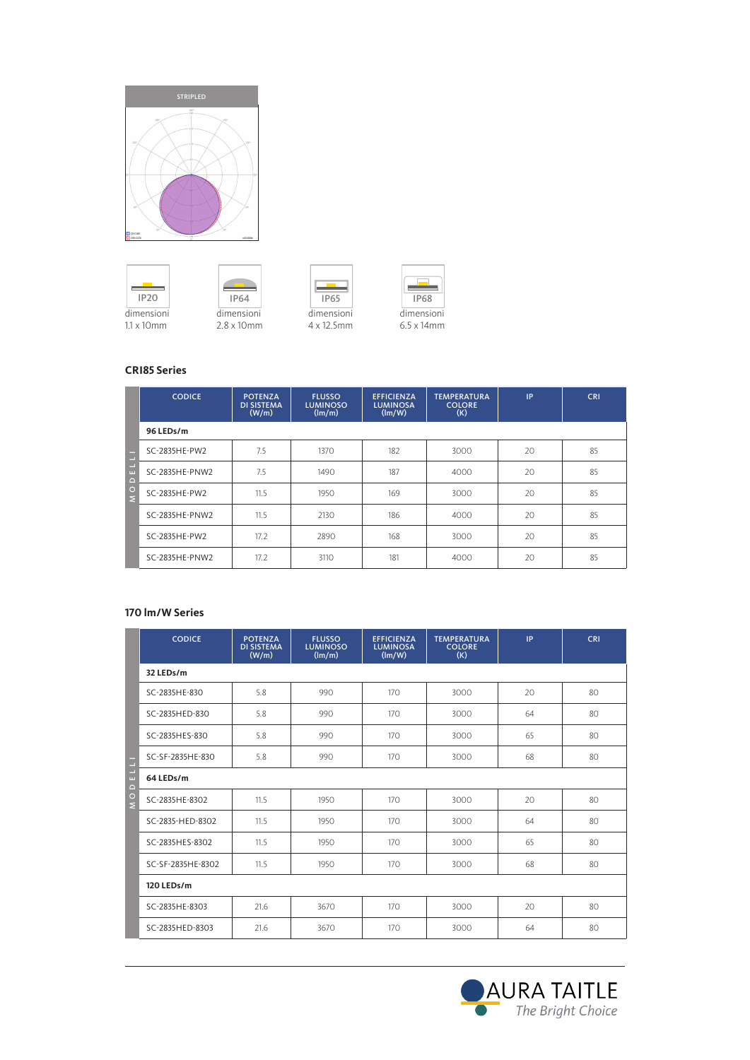









# **CRI85 Series**

|                        | <b>CODICE</b>  | <b>POTENZA</b><br><b>DI SISTEMA</b><br>(W/m) | <b>FLUSSO</b><br><b>LUMINOSO</b><br>(lm/m) | <b>EFFICIENZA</b><br><b>LUMINOSA</b><br>(lm/W) | <b>TEMPERATURA</b><br><b>COLORE</b><br>(K) | IP | <b>CRI</b> |  |  |  |  |
|------------------------|----------------|----------------------------------------------|--------------------------------------------|------------------------------------------------|--------------------------------------------|----|------------|--|--|--|--|
|                        | 96 LEDs/m      |                                              |                                            |                                                |                                            |    |            |  |  |  |  |
|                        | SC-2835HE-PW2  | 7.5                                          | 1370                                       | 182                                            | 3000                                       | 20 | 85         |  |  |  |  |
| $\mathbf{u}$<br>$\Box$ | SC-2835HE-PNW2 | 7.5                                          | 1490                                       | 187                                            | 4000                                       | 20 | 85         |  |  |  |  |
| $\frac{0}{5}$          | SC-2835HE-PW2  | 11.5                                         | 1950                                       | 169                                            | 3000                                       | 20 | 85         |  |  |  |  |
|                        | SC-2835HE-PNW2 | 11.5                                         | 2130                                       | 186                                            | 4000                                       | 20 | 85         |  |  |  |  |
|                        | SC-2835HE-PW2  | 17.2                                         | 2890                                       | 168                                            | 3000                                       | 20 | 85         |  |  |  |  |
|                        | SC-2835HE-PNW2 | 17.2                                         | 3110                                       | 181                                            | 4000                                       | 20 | 85         |  |  |  |  |

### **170 lm/W Series**

|                             | <b>CODICE</b>     | <b>POTENZA</b><br><b>DI SISTEMA</b><br>(W/m) | <b>FLUSSO</b><br><b>LUMINOSO</b><br>(lm/m) | <b>EFFICIENZA</b><br><b>LUMINOSA</b><br>(lm/W) | <b>TEMPERATURA</b><br><b>COLORE</b><br>(K) | IP | <b>CRI</b> |  |  |
|-----------------------------|-------------------|----------------------------------------------|--------------------------------------------|------------------------------------------------|--------------------------------------------|----|------------|--|--|
|                             | 32 LEDs/m         |                                              |                                            |                                                |                                            |    |            |  |  |
|                             | SC-2835HE-830     | 5.8                                          | 990                                        | 170                                            | 3000                                       | 20 | 80         |  |  |
|                             | SC-2835HED-830    | 5.8                                          | 990                                        | 170                                            | 3000                                       | 64 | 80         |  |  |
|                             | SC-2835HES-830    | 5.8                                          | 990                                        | 170                                            | 3000                                       | 65 | 80         |  |  |
| н<br>е                      | SC-SF-2835HE-830  | 5.8                                          | 990                                        | 170                                            | 3000                                       | 68 | 80         |  |  |
| Ξ<br>$\mathbf{u}$<br>$\Box$ | 64 LEDs/m         |                                              |                                            |                                                |                                            |    |            |  |  |
| $\circ$<br>$\overline{z}$   | SC-2835HE-8302    | 11.5                                         | 1950                                       | 170                                            | 3000                                       | 20 | 80         |  |  |
|                             | SC-2835-HED-8302  | 11.5                                         | 1950                                       | 170                                            | 3000                                       | 64 | 80         |  |  |
|                             | SC-2835HES-8302   | 11.5                                         | 1950                                       | 170                                            | 3000                                       | 65 | 80         |  |  |
|                             | SC-SF-2835HE-8302 | 11.5                                         | 1950                                       | 170                                            | 3000                                       | 68 | 80         |  |  |
|                             | 120 LEDs/m        |                                              |                                            |                                                |                                            |    |            |  |  |
|                             | SC-2835HE-8303    | 21.6                                         | 3670                                       | 170                                            | 3000                                       | 20 | 80         |  |  |
|                             | SC-2835HED-8303   | 21.6                                         | 3670                                       | 170                                            | 3000                                       | 64 | 80         |  |  |

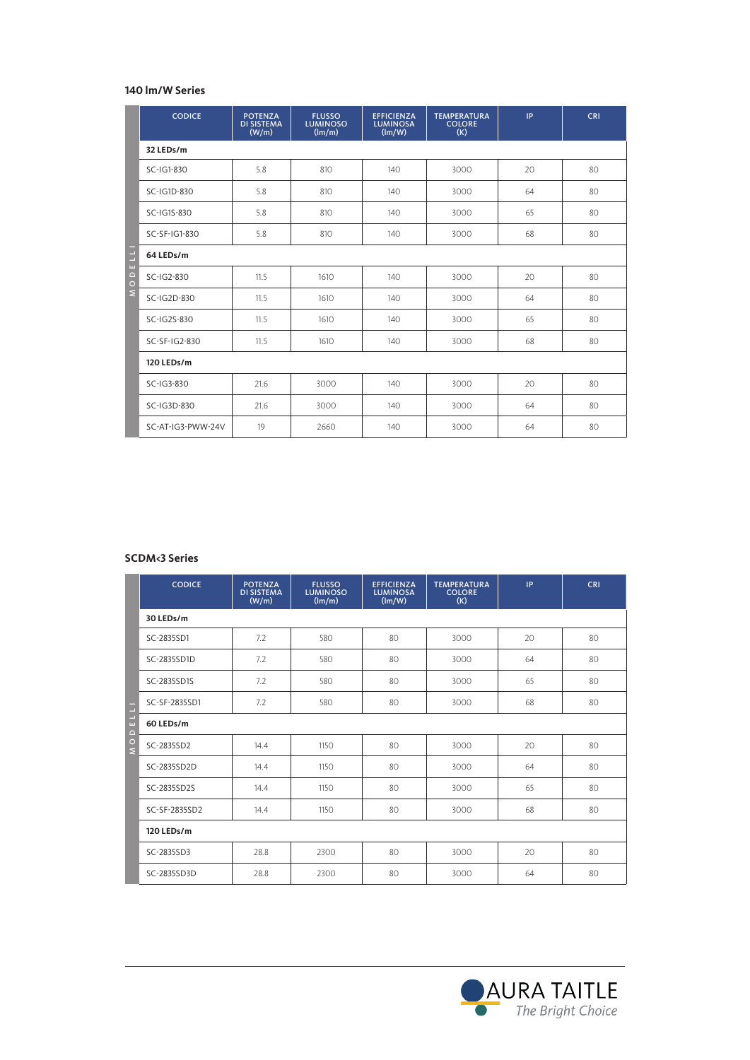### **140 lm/W Series**

|                                         | <b>CODICE</b>           | <b>POTENZA</b><br><b>DI SISTEMA</b><br>(W/m) | <b>FLUSSO</b><br><b>LUMINOSO</b><br>(lm/m) | <b>EFFICIENZA</b><br><b>LUMINOSA</b><br>$(\text{Im}/\text{W})$ | <b>TEMPERATURA</b><br><b>COLORE</b><br>(K) | IP | <b>CRI</b> |  |  |
|-----------------------------------------|-------------------------|----------------------------------------------|--------------------------------------------|----------------------------------------------------------------|--------------------------------------------|----|------------|--|--|
|                                         | 32 LEDs/m               |                                              |                                            |                                                                |                                            |    |            |  |  |
|                                         | SC-IG1-830              | 5.8                                          | 810                                        | 140                                                            | 3000                                       | 20 | 80         |  |  |
|                                         | SC-IG1D-830             | 5.8                                          | 810                                        | 140                                                            | 3000                                       | 64 | 80         |  |  |
|                                         | SC-IG1S-830             | 5.8                                          | 810                                        | 140                                                            | 3000                                       | 65 | 80         |  |  |
|                                         | SC-SF-IG1-830           | 5.8                                          | 810                                        | 140                                                            | 3000                                       | 68 | 80         |  |  |
| E<br>E                                  | 64 LEDs/m               |                                              |                                            |                                                                |                                            |    |            |  |  |
| $\begin{array}{c}\n0 \\ 0\n\end{array}$ | SC-IG2-830              | 11.5                                         | 1610                                       | 140                                                            | 3000                                       | 20 | 80         |  |  |
| $\bar{z}$                               | SC-IG2D-830             | 11.5                                         | 1610                                       | 140                                                            | 3000                                       | 64 | 80         |  |  |
|                                         | SC-IG2S-830             | 11.5                                         | 1610                                       | 140                                                            | 3000                                       | 65 | 80         |  |  |
|                                         | SC-SF-IG2-830           | 11.5                                         | 1610                                       | 140                                                            | 3000                                       | 68 | 80         |  |  |
|                                         | 120 LEDs/m              |                                              |                                            |                                                                |                                            |    |            |  |  |
|                                         | SC-IG3-830              | 21.6                                         | 3000                                       | 140                                                            | 3000                                       | 20 | 80         |  |  |
|                                         | SC-IG3D-830             | 21.6                                         | 3000                                       | 140                                                            | 3000                                       | 64 | 80         |  |  |
|                                         | SC-AT-IG3-PWW-24V       | 19                                           | 2660                                       | 140                                                            | 3000                                       | 64 | 80         |  |  |
|                                         |                         |                                              |                                            |                                                                |                                            |    |            |  |  |
|                                         |                         |                                              |                                            |                                                                |                                            |    |            |  |  |
|                                         |                         |                                              |                                            |                                                                |                                            |    |            |  |  |
|                                         |                         |                                              |                                            |                                                                |                                            |    |            |  |  |
|                                         |                         |                                              |                                            |                                                                |                                            |    |            |  |  |
|                                         | <b>SCDM&lt;3 Series</b> |                                              |                                            |                                                                |                                            |    |            |  |  |

|                                | <b>CODICE</b> | <b>POTENZA</b><br><b>DI SISTEMA</b><br>(W/m) | <b>FLUSSO</b><br><b>LUMINOSO</b><br>(lm/m) | <b>EFFICIENZA</b><br><b>LUMINOSA</b><br>$(\text{Im}/\text{W})$ | <b>TEMPERATURA</b><br><b>COLORE</b><br>(K) | IP | <b>CRI</b> |  |  |
|--------------------------------|---------------|----------------------------------------------|--------------------------------------------|----------------------------------------------------------------|--------------------------------------------|----|------------|--|--|
|                                | 30 LEDs/m     |                                              |                                            |                                                                |                                            |    |            |  |  |
|                                | SC-2835SD1    | 7.2                                          | 580                                        | 80                                                             | 3000                                       | 20 | 80         |  |  |
|                                | SC-2835SD1D   | 7.2                                          | 580                                        | 80                                                             | 3000                                       | 64 | 80         |  |  |
|                                | SC-2835SD1S   | 7.2                                          | 580                                        | 80                                                             | 3000                                       | 65 | 80         |  |  |
| Ē                              | SC-SF-2835SD1 | 7.2                                          | 580                                        | 80                                                             | 3000                                       | 68 | 80         |  |  |
| $\frac{1}{\omega}$<br>$\Omega$ | 60 LEDs/m     |                                              |                                            |                                                                |                                            |    |            |  |  |
| $\frac{1}{2}$                  | SC-2835SD2    | 14.4                                         | 1150                                       | 80                                                             | 3000                                       | 20 | 80         |  |  |
|                                | SC-2835SD2D   | 14.4                                         | 1150                                       | 80                                                             | 3000                                       | 64 | 80         |  |  |
|                                | SC-2835SD2S   | 14.4                                         | 1150                                       | 80                                                             | 3000                                       | 65 | 80         |  |  |
|                                | SC-SF-2835SD2 | 14.4                                         | 1150                                       | 80                                                             | 3000                                       | 68 | 80         |  |  |
|                                | 120 LEDs/m    |                                              |                                            |                                                                |                                            |    |            |  |  |
|                                | SC-2835SD3    | 28.8                                         | 2300                                       | 80                                                             | 3000                                       | 20 | 80         |  |  |
|                                | SC-2835SD3D   | 28.8                                         | 2300                                       | 80                                                             | 3000                                       | 64 | 80         |  |  |

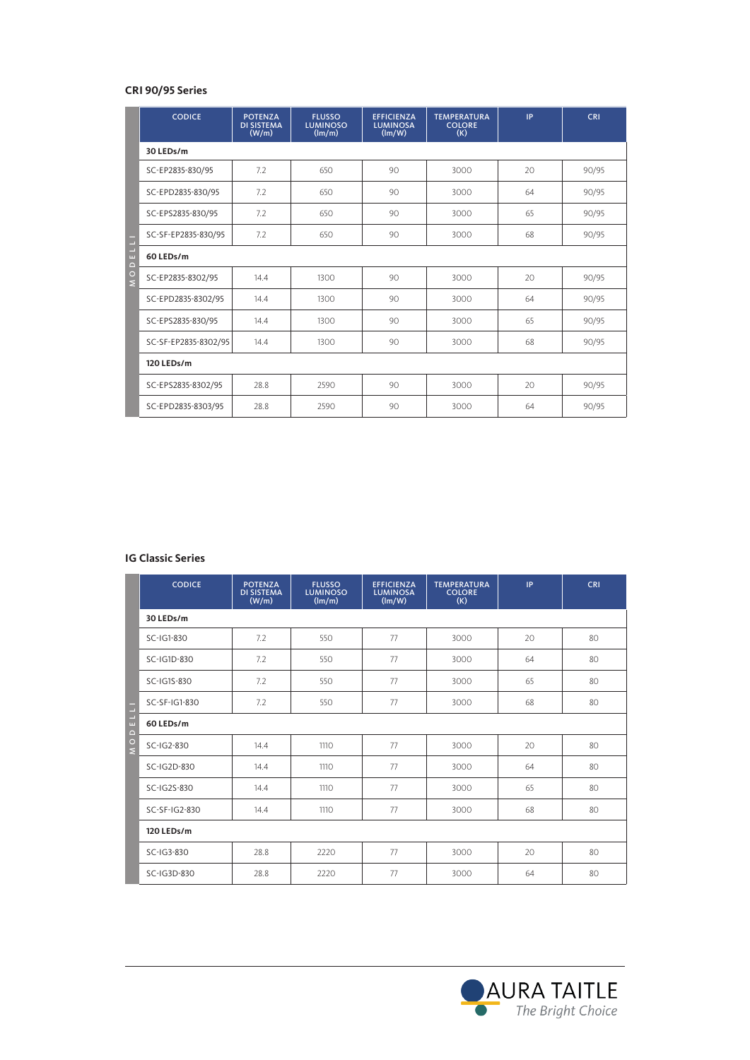## **CRI 90/95 Series**

|                    | <b>CODICE</b>            | <b>POTENZA</b><br><b>DI SISTEMA</b><br>(W/m) | <b>FLUSSO</b><br><b>LUMINOSO</b><br>(lm/m) | <b>EFFICIENZA</b><br><b>LUMINOSA</b><br>$(\text{Im}/\text{W})$ | <b>TEMPERATURA</b><br><b>COLORE</b><br>(K) | IP. | <b>CRI</b> |  |  |
|--------------------|--------------------------|----------------------------------------------|--------------------------------------------|----------------------------------------------------------------|--------------------------------------------|-----|------------|--|--|
|                    | 30 LEDs/m                |                                              |                                            |                                                                |                                            |     |            |  |  |
|                    | SC-EP2835-830/95         | 7.2                                          | 650                                        | 90                                                             | 3000                                       | 20  | 90/95      |  |  |
|                    | SC-EPD2835-830/95        | 7.2                                          | 650                                        | 90                                                             | 3000                                       | 64  | 90/95      |  |  |
|                    | SC-EPS2835-830/95        | 7.2                                          | 650                                        | 90                                                             | 3000                                       | 65  | 90/95      |  |  |
|                    | SC-SF-EP2835-830/95      | 7.2                                          | 650                                        | 90                                                             | 3000                                       | 68  | 90/95      |  |  |
| E L LI<br>$\Omega$ | 60 LEDs/m                |                                              |                                            |                                                                |                                            |     |            |  |  |
| $\frac{1}{2}$      | SC-EP2835-8302/95        | 14.4                                         | 1300                                       | 90                                                             | 3000                                       | 20  | 90/95      |  |  |
|                    | SC-EPD2835-8302/95       | 14.4                                         | 1300                                       | 90                                                             | 3000                                       | 64  | 90/95      |  |  |
|                    | SC-EPS2835-830/95        | 14.4                                         | 1300                                       | 90                                                             | 3000                                       | 65  | 90/95      |  |  |
|                    | SC-SF-EP2835-8302/95     | 14.4                                         | 1300                                       | 90                                                             | 3000                                       | 68  | 90/95      |  |  |
|                    | 120 LEDs/m               |                                              |                                            |                                                                |                                            |     |            |  |  |
|                    | SC-EPS2835-8302/95       | 28.8                                         | 2590                                       | 90                                                             | 3000                                       | 20  | 90/95      |  |  |
|                    | SC-EPD2835-8303/95       | 28.8                                         | 2590                                       | 90                                                             | 3000                                       | 64  | 90/95      |  |  |
|                    |                          |                                              |                                            |                                                                |                                            |     |            |  |  |
|                    | <b>IG Classic Series</b> |                                              |                                            |                                                                |                                            |     |            |  |  |

|     | <b>CODICE</b> | <b>POTENZA</b><br><b>DI SISTEMA</b><br>(W/m) | <b>FLUSSO</b><br><b>LUMINOSO</b><br>(lm/m) | <b>EFFICIENZA</b><br><b>LUMINOSA</b><br>(lm/W) | <b>TEMPERATURA</b><br><b>COLORE</b><br>(K) | IP | <b>CRI</b> |  |  |
|-----|---------------|----------------------------------------------|--------------------------------------------|------------------------------------------------|--------------------------------------------|----|------------|--|--|
|     | 30 LEDs/m     |                                              |                                            |                                                |                                            |    |            |  |  |
|     | SC-IG1-830    | 7.2                                          | 550                                        | 77                                             | 3000                                       | 20 | 80         |  |  |
|     | SC-IG1D-830   | 7.2                                          | 550                                        | 77                                             | 3000                                       | 64 | 80         |  |  |
|     | SC-IG1S-830   | 7.2                                          | 550                                        | 77                                             | 3000                                       | 65 | 80         |  |  |
|     | SC-SF-IG1-830 | 7.2                                          | 550                                        | 77                                             | 3000                                       | 68 | 80         |  |  |
| EU  | 60 LEDs/m     |                                              |                                            |                                                |                                            |    |            |  |  |
| O D | SC-IG2-830    | 14.4                                         | 1110                                       | 77                                             | 3000                                       | 20 | 80         |  |  |
|     | SC-IG2D-830   | 14.4                                         | 1110                                       | 77                                             | 3000                                       | 64 | 80         |  |  |
|     | SC-IG2S-830   | 14.4                                         | 1110                                       | 77                                             | 3000                                       | 65 | 80         |  |  |
|     | SC-SF-IG2-830 | 14.4                                         | 1110                                       | 77                                             | 3000                                       | 68 | 80         |  |  |
|     | 120 LEDs/m    |                                              |                                            |                                                |                                            |    |            |  |  |
|     | SC-IG3-830    | 28.8                                         | 2220                                       | 77                                             | 3000                                       | 20 | 80         |  |  |
|     | SC-IG3D-830   | 28.8                                         | 2220                                       | 77                                             | 3000                                       | 64 | 80         |  |  |